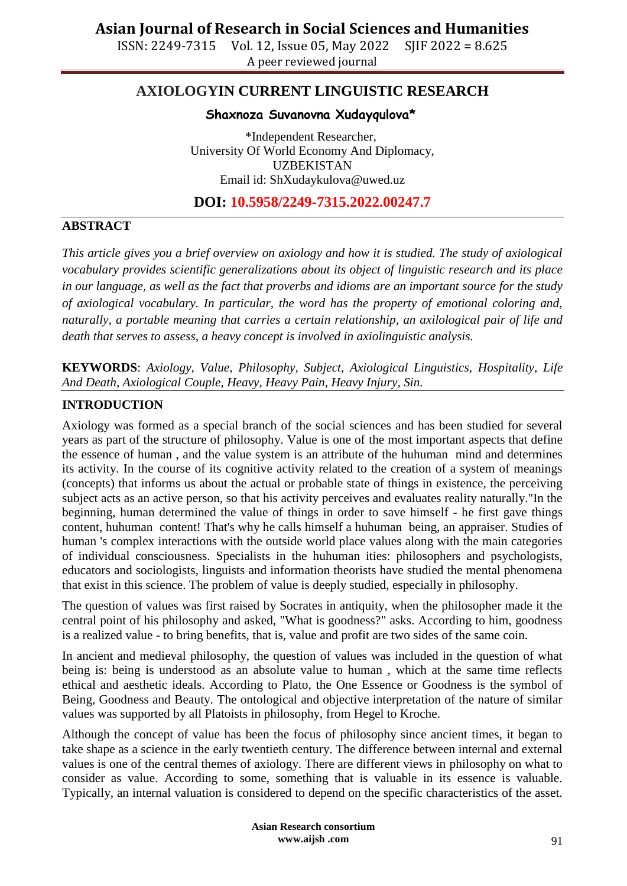A peer reviewed journal

### **AXIOLOGYIN CURRENT LINGUISTIC RESEARCH**

#### **Shaxnoza Suvanovna Xudayqulova\***

\*Independent Researcher, University Of World Economy And Diplomacy, UZBEKISTAN Email id: [ShXudaykulova@uwed.uz](mailto:ShXudaykulova@uwed.uz)

### **DOI: 10.5958/2249-7315.2022.00247.7**

#### **ABSTRACT**

*This article gives you a brief overview on axiology and how it is studied. The study of axiological vocabulary provides scientific generalizations about its object of linguistic research and its place in our language, as well as the fact that proverbs and idioms are an important source for the study of axiological vocabulary. In particular, the word has the property of emotional coloring and, naturally, a portable meaning that carries a certain relationship, an axilological pair of life and death that serves to assess, a heavy concept is involved in axiolinguistic analysis.*

**KEYWORDS**: *Axiology, Value, Philosophy, Subject, Axiological Linguistics, Hospitality, Life And Death, Axiological Couple, Heavy, Heavy Pain, Heavy Injury, Sin.*

#### **INTRODUCTION**

Axiology was formed as a special branch of the social sciences and has been studied for several years as part of the structure of philosophy. Value is one of the most important aspects that define the essence of human , and the value system is an attribute of the huhuman mind and determines its activity. In the course of its cognitive activity related to the creation of a system of meanings (concepts) that informs us about the actual or probable state of things in existence, the perceiving subject acts as an active person, so that his activity perceives and evaluates reality naturally."In the beginning, human determined the value of things in order to save himself - he first gave things content, huhuman content! That's why he calls himself a huhuman being, an appraiser. Studies of human 's complex interactions with the outside world place values along with the main categories of individual consciousness. Specialists in the huhuman ities: philosophers and psychologists, educators and sociologists, linguists and information theorists have studied the mental phenomena that exist in this science. The problem of value is deeply studied, especially in philosophy.

The question of values was first raised by Socrates in antiquity, when the philosopher made it the central point of his philosophy and asked, "What is goodness?" asks. According to him, goodness is a realized value - to bring benefits, that is, value and profit are two sides of the same coin.

In ancient and medieval philosophy, the question of values was included in the question of what being is: being is understood as an absolute value to human , which at the same time reflects ethical and aesthetic ideals. According to Plato, the One Essence or Goodness is the symbol of Being, Goodness and Beauty. The ontological and objective interpretation of the nature of similar values was supported by all Platoists in philosophy, from Hegel to Kroche.

Although the concept of value has been the focus of philosophy since ancient times, it began to take shape as a science in the early twentieth century. The difference between internal and external values is one of the central themes of axiology. There are different views in philosophy on what to consider as value. According to some, something that is valuable in its essence is valuable. Typically, an internal valuation is considered to depend on the specific characteristics of the asset.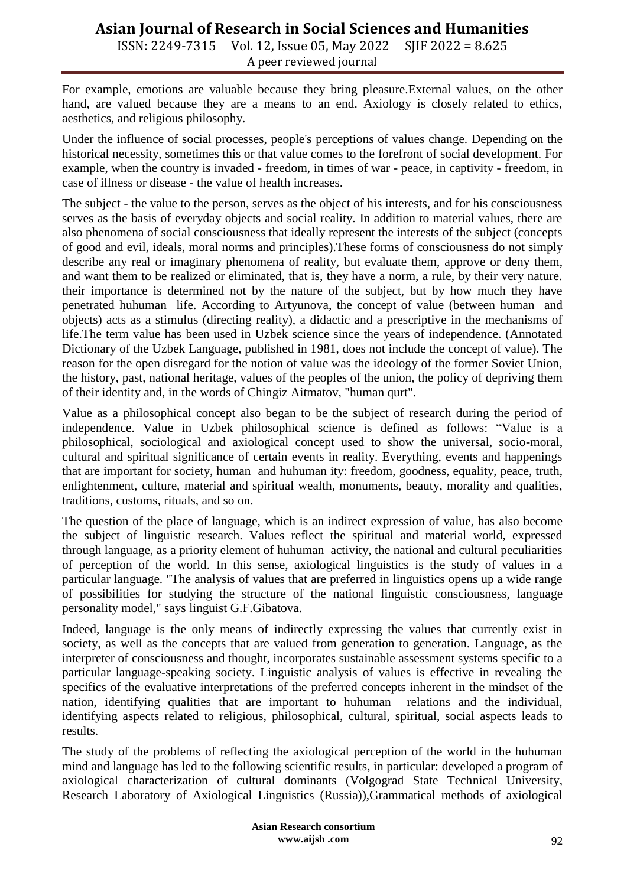ISSN: 2249-7315 Vol. 12, Issue 05, May 2022 SJIF 2022 = 8.625 A peer reviewed journal

For example, emotions are valuable because they bring pleasure.External values, on the other hand, are valued because they are a means to an end. Axiology is closely related to ethics, aesthetics, and religious philosophy.

Under the influence of social processes, people's perceptions of values change. Depending on the historical necessity, sometimes this or that value comes to the forefront of social development. For example, when the country is invaded - freedom, in times of war - peace, in captivity - freedom, in case of illness or disease - the value of health increases.

The subject - the value to the person, serves as the object of his interests, and for his consciousness serves as the basis of everyday objects and social reality. In addition to material values, there are also phenomena of social consciousness that ideally represent the interests of the subject (concepts of good and evil, ideals, moral norms and principles).These forms of consciousness do not simply describe any real or imaginary phenomena of reality, but evaluate them, approve or deny them, and want them to be realized or eliminated, that is, they have a norm, a rule, by their very nature. their importance is determined not by the nature of the subject, but by how much they have penetrated huhuman life. According to Artyunova, the concept of value (between human and objects) acts as a stimulus (directing reality), a didactic and a prescriptive in the mechanisms of life.The term value has been used in Uzbek science since the years of independence. (Annotated Dictionary of the Uzbek Language, published in 1981, does not include the concept of value). The reason for the open disregard for the notion of value was the ideology of the former Soviet Union, the history, past, national heritage, values of the peoples of the union, the policy of depriving them of their identity and, in the words of Chingiz Aitmatov, "human qurt".

Value as a philosophical concept also began to be the subject of research during the period of independence. Value in Uzbek philosophical science is defined as follows: "Value is a philosophical, sociological and axiological concept used to show the universal, socio-moral, cultural and spiritual significance of certain events in reality. Everything, events and happenings that are important for society, human and huhuman ity: freedom, goodness, equality, peace, truth, enlightenment, culture, material and spiritual wealth, monuments, beauty, morality and qualities, traditions, customs, rituals, and so on.

The question of the place of language, which is an indirect expression of value, has also become the subject of linguistic research. Values reflect the spiritual and material world, expressed through language, as a priority element of huhuman activity, the national and cultural peculiarities of perception of the world. In this sense, axiological linguistics is the study of values in a particular language. "The analysis of values that are preferred in linguistics opens up a wide range of possibilities for studying the structure of the national linguistic consciousness, language personality model," says linguist G.F.Gibatova.

Indeed, language is the only means of indirectly expressing the values that currently exist in society, as well as the concepts that are valued from generation to generation. Language, as the interpreter of consciousness and thought, incorporates sustainable assessment systems specific to a particular language-speaking society. Linguistic analysis of values is effective in revealing the specifics of the evaluative interpretations of the preferred concepts inherent in the mindset of the nation, identifying qualities that are important to huhuman relations and the individual, identifying aspects related to religious, philosophical, cultural, spiritual, social aspects leads to results.

The study of the problems of reflecting the axiological perception of the world in the huhuman mind and language has led to the following scientific results, in particular: developed a program of axiological characterization of cultural dominants (Volgograd State Technical University, Research Laboratory of Axiological Linguistics (Russia)),Grammatical methods of axiological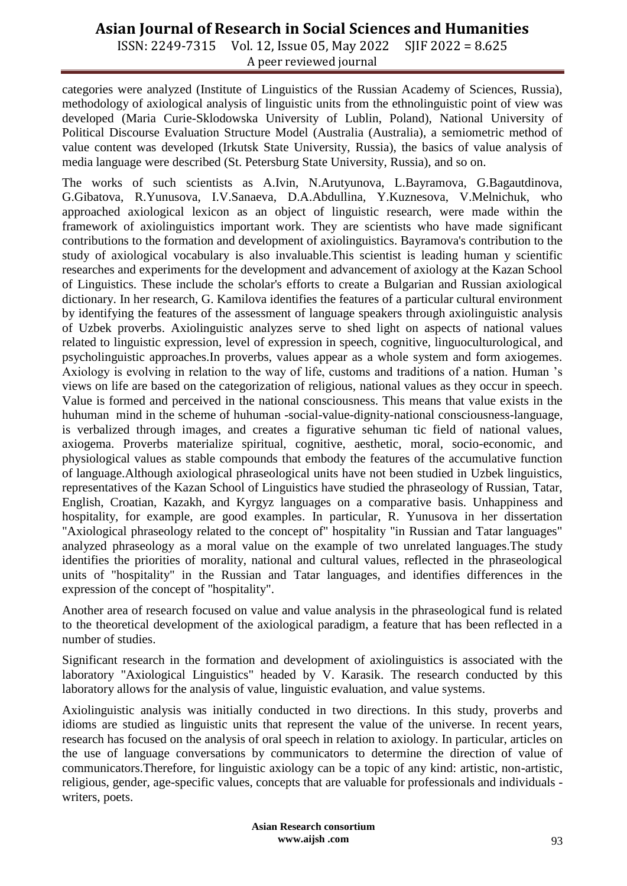ISSN: 2249-7315 Vol. 12, Issue 05, May 2022 SJIF 2022 = 8.625 A peer reviewed journal

categories were analyzed (Institute of Linguistics of the Russian Academy of Sciences, Russia), methodology of axiological analysis of linguistic units from the ethnolinguistic point of view was developed (Maria Curie-Sklodowska University of Lublin, Poland), National University of Political Discourse Evaluation Structure Model (Australia (Australia), a semiometric method of value content was developed (Irkutsk State University, Russia), the basics of value analysis of media language were described (St. Petersburg State University, Russia), and so on.

The works of such scientists as A.Ivin, N.Arutyunova, L.Bayramova, G.Bagautdinova, G.Gibatova, R.Yunusova, I.V.Sanaeva, D.A.Abdullina, Y.Kuznesova, V.Melnichuk, who approached axiological lexicon as an object of linguistic research, were made within the framework of axiolinguistics important work. They are scientists who have made significant contributions to the formation and development of axiolinguistics. Bayramova's contribution to the study of axiological vocabulary is also invaluable.This scientist is leading human y scientific researches and experiments for the development and advancement of axiology at the Kazan School of Linguistics. These include the scholar's efforts to create a Bulgarian and Russian axiological dictionary. In her research, G. Kamilova identifies the features of a particular cultural environment by identifying the features of the assessment of language speakers through axiolinguistic analysis of Uzbek proverbs. Axiolinguistic analyzes serve to shed light on aspects of national values related to linguistic expression, level of expression in speech, cognitive, linguoculturological, and psycholinguistic approaches.In proverbs, values appear as a whole system and form axiogemes. Axiology is evolving in relation to the way of life, customs and traditions of a nation. Human 's views on life are based on the categorization of religious, national values as they occur in speech. Value is formed and perceived in the national consciousness. This means that value exists in the huhuman mind in the scheme of huhuman -social-value-dignity-national consciousness-language, is verbalized through images, and creates a figurative sehuman tic field of national values, axiogema. Proverbs materialize spiritual, cognitive, aesthetic, moral, socio-economic, and physiological values as stable compounds that embody the features of the accumulative function of language.Although axiological phraseological units have not been studied in Uzbek linguistics, representatives of the Kazan School of Linguistics have studied the phraseology of Russian, Tatar, English, Croatian, Kazakh, and Kyrgyz languages on a comparative basis. Unhappiness and hospitality, for example, are good examples. In particular, R. Yunusova in her dissertation "Axiological phraseology related to the concept of" hospitality "in Russian and Tatar languages" analyzed phraseology as a moral value on the example of two unrelated languages.The study identifies the priorities of morality, national and cultural values, reflected in the phraseological units of "hospitality" in the Russian and Tatar languages, and identifies differences in the expression of the concept of "hospitality".

Another area of research focused on value and value analysis in the phraseological fund is related to the theoretical development of the axiological paradigm, a feature that has been reflected in a number of studies.

Significant research in the formation and development of axiolinguistics is associated with the laboratory "Axiological Linguistics" headed by V. Karasik. The research conducted by this laboratory allows for the analysis of value, linguistic evaluation, and value systems.

Axiolinguistic analysis was initially conducted in two directions. In this study, proverbs and idioms are studied as linguistic units that represent the value of the universe. In recent years, research has focused on the analysis of oral speech in relation to axiology. In particular, articles on the use of language conversations by communicators to determine the direction of value of communicators.Therefore, for linguistic axiology can be a topic of any kind: artistic, non-artistic, religious, gender, age-specific values, concepts that are valuable for professionals and individuals writers, poets.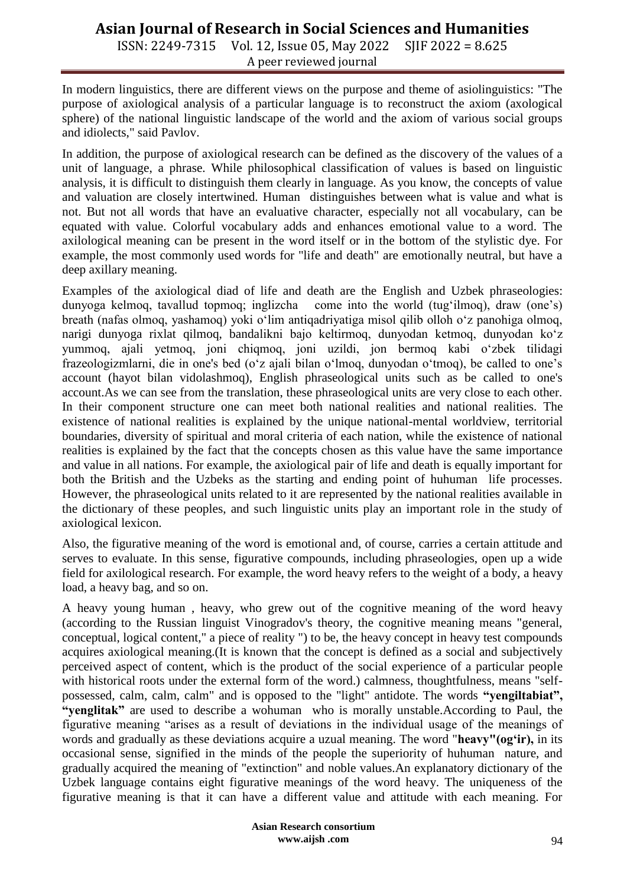ISSN: 2249-7315 Vol. 12, Issue 05, May 2022 SJIF 2022 = 8.625 A peer reviewed journal

In modern linguistics, there are different views on the purpose and theme of asiolinguistics: "The purpose of axiological analysis of a particular language is to reconstruct the axiom (axological sphere) of the national linguistic landscape of the world and the axiom of various social groups and idiolects," said Pavlov.

In addition, the purpose of axiological research can be defined as the discovery of the values of a unit of language, a phrase. While philosophical classification of values is based on linguistic analysis, it is difficult to distinguish them clearly in language. As you know, the concepts of value and valuation are closely intertwined. Human distinguishes between what is value and what is not. But not all words that have an evaluative character, especially not all vocabulary, can be equated with value. Colorful vocabulary adds and enhances emotional value to a word. The axilological meaning can be present in the word itself or in the bottom of the stylistic dye. For example, the most commonly used words for "life and death" are emotionally neutral, but have a deep axillary meaning.

Examples of the axiological diad of life and death are the English and Uzbek phraseologies: dunyoga kelmoq, tavallud topmoq; inglizcha come into the world (tug'ilmoq), draw (one's) breath (nafas olmoq, yashamoq) yoki o'lim antiqadriyatiga misol qilib olloh o'z panohiga olmoq, narigi dunyoga rixlat qilmoq, bandalikni bajo keltirmoq, dunyodan ketmoq, dunyodan ko'z yummoq, ajali yetmoq, joni chiqmoq, joni uzildi, jon bermoq kabi o'zbek tilidagi frazeologizmlarni, die in one's bed (o'z ajali bilan o'lmoq, dunyodan o'tmoq), be called to one's account (hayot bilan vidolashmoq), English phraseological units such as be called to one's account.As we can see from the translation, these phraseological units are very close to each other. In their component structure one can meet both national realities and national realities. The existence of national realities is explained by the unique national-mental worldview, territorial boundaries, diversity of spiritual and moral criteria of each nation, while the existence of national realities is explained by the fact that the concepts chosen as this value have the same importance and value in all nations. For example, the axiological pair of life and death is equally important for both the British and the Uzbeks as the starting and ending point of huhuman life processes. However, the phraseological units related to it are represented by the national realities available in the dictionary of these peoples, and such linguistic units play an important role in the study of axiological lexicon.

Also, the figurative meaning of the word is emotional and, of course, carries a certain attitude and serves to evaluate. In this sense, figurative compounds, including phraseologies, open up a wide field for axilological research. For example, the word heavy refers to the weight of a body, a heavy load, a heavy bag, and so on.

A heavy young human , heavy, who grew out of the cognitive meaning of the word heavy (according to the Russian linguist Vinogradov's theory, the cognitive meaning means "general, conceptual, logical content," a piece of reality ") to be, the heavy concept in heavy test compounds acquires axiological meaning.(It is known that the concept is defined as a social and subjectively perceived aspect of content, which is the product of the social experience of a particular people with historical roots under the external form of the word.) calmness, thoughtfulness, means "selfpossessed, calm, calm, calm" and is opposed to the "light" antidote. The words **"yengiltabiat", "yenglitak"** are used to describe a wohuman who is morally unstable.According to Paul, the figurative meaning "arises as a result of deviations in the individual usage of the meanings of words and gradually as these deviations acquire a uzual meaning. The word "**heavy"(ogʻir),** in its occasional sense, signified in the minds of the people the superiority of huhuman nature, and gradually acquired the meaning of "extinction" and noble values.An explanatory dictionary of the Uzbek language contains eight figurative meanings of the word heavy. The uniqueness of the figurative meaning is that it can have a different value and attitude with each meaning. For

> **Asian Research consortium www.aijsh .com**